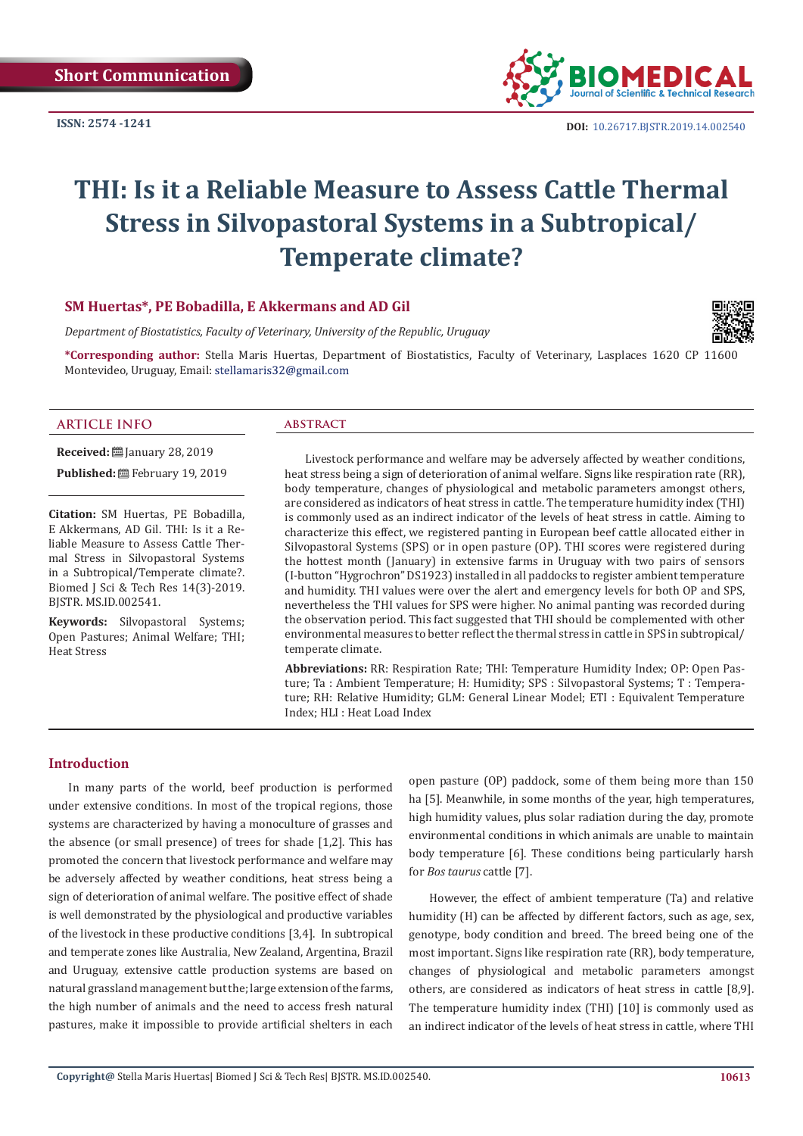**ISSN: 2574 -1241**



# **THI: Is it a Reliable Measure to Assess Cattle Thermal Stress in Silvopastoral Systems in a Subtropical/ Temperate climate?**

# **SM Huertas\*, PE Bobadilla, E Akkermans and AD Gil**

*Department of Biostatistics, Faculty of Veterinary, University of the Republic, Uruguay*

**\*Corresponding author:** Stella Maris Huertas, Department of Biostatistics, Faculty of Veterinary, Lasplaces 1620 CP 11600 Montevideo, Uruguay, Email: stellamaris32@gmail.com



#### **ARTICLE INFO abstract**

**Received:** ■ January 28, 2019

Published: **巴**February 19, 2019

**Citation:** SM Huertas, PE Bobadilla, E Akkermans, AD Gil. THI: Is it a Reliable Measure to Assess Cattle Thermal Stress in Silvopastoral Systems in a Subtropical/Temperate climate?. Biomed J Sci & Tech Res 14(3)-2019. BJSTR. MS.ID.002541.

**Keywords:** Silvopastoral Systems; Open Pastures; Animal Welfare; THI; Heat Stress

Livestock performance and welfare may be adversely affected by weather conditions, heat stress being a sign of deterioration of animal welfare. Signs like respiration rate (RR), body temperature, changes of physiological and metabolic parameters amongst others, are considered as indicators of heat stress in cattle. The temperature humidity index (THI) is commonly used as an indirect indicator of the levels of heat stress in cattle. Aiming to characterize this effect, we registered panting in European beef cattle allocated either in Silvopastoral Systems (SPS) or in open pasture (OP). THI scores were registered during the hottest month (January) in extensive farms in Uruguay with two pairs of sensors (I-button "Hygrochron" DS1923) installed in all paddocks to register ambient temperature and humidity. THI values were over the alert and emergency levels for both OP and SPS, nevertheless the THI values for SPS were higher. No animal panting was recorded during the observation period. This fact suggested that THI should be complemented with other environmental measures to better reflect the thermal stress in cattle in SPS in subtropical/ temperate climate.

**Abbreviations:** RR: Respiration Rate; THI: Temperature Humidity Index; OP: Open Pasture; Ta : Ambient Temperature; H: Humidity; SPS : Silvopastoral Systems; T : Temperature; RH: Relative Humidity; GLM: General Linear Model; ETI : Equivalent Temperature Index; HLI : Heat Load Index

# **Introduction**

In many parts of the world, beef production is performed under extensive conditions. In most of the tropical regions, those systems are characterized by having a monoculture of grasses and the absence (or small presence) of trees for shade [1,2]. This has promoted the concern that livestock performance and welfare may be adversely affected by weather conditions, heat stress being a sign of deterioration of animal welfare. The positive effect of shade is well demonstrated by the physiological and productive variables of the livestock in these productive conditions [3,4]. In subtropical and temperate zones like Australia, New Zealand, Argentina, Brazil and Uruguay, extensive cattle production systems are based on natural grassland management but the; large extension of the farms, the high number of animals and the need to access fresh natural pastures, make it impossible to provide artificial shelters in each

open pasture (OP) paddock, some of them being more than 150 ha [5]. Meanwhile, in some months of the year, high temperatures, high humidity values, plus solar radiation during the day, promote environmental conditions in which animals are unable to maintain body temperature [6]. These conditions being particularly harsh for *Bos taurus* cattle [7].

However, the effect of ambient temperature (Ta) and relative humidity (H) can be affected by different factors, such as age, sex, genotype, body condition and breed. The breed being one of the most important. Signs like respiration rate (RR), body temperature, changes of physiological and metabolic parameters amongst others, are considered as indicators of heat stress in cattle [8,9]. The temperature humidity index (THI) [10] is commonly used as an indirect indicator of the levels of heat stress in cattle, where THI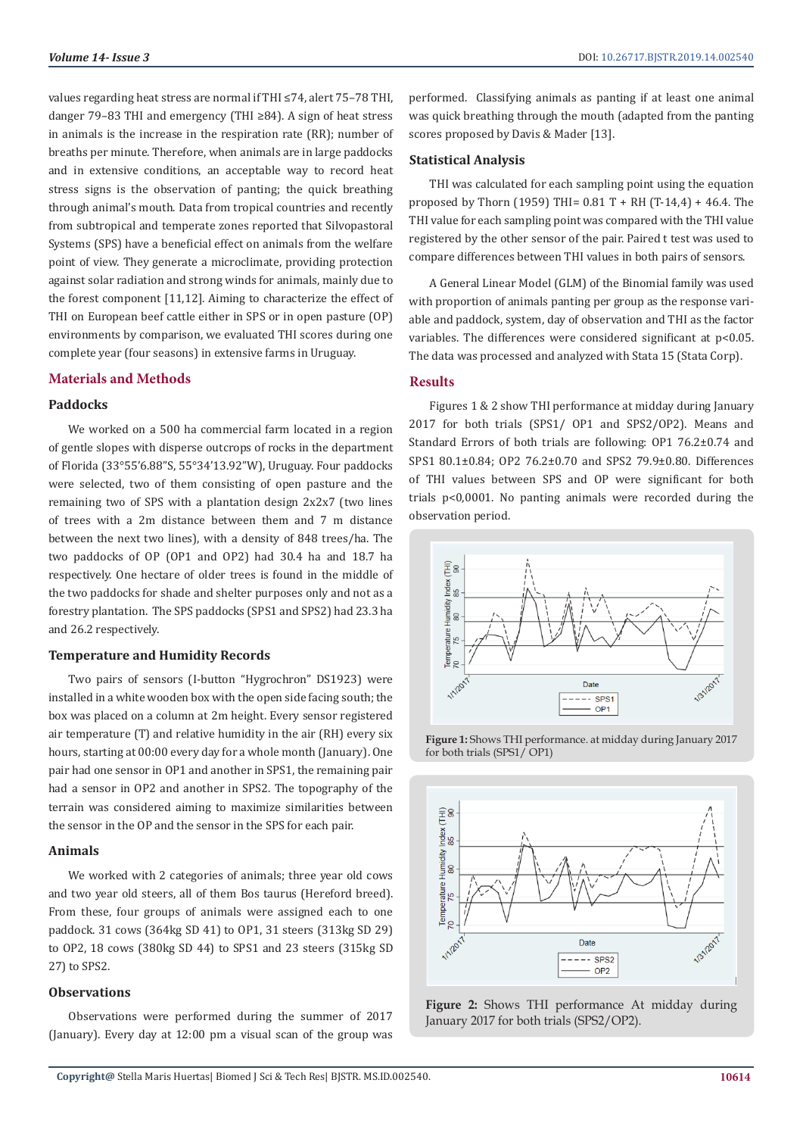values regarding heat stress are normal if THI ≤74, alert 75–78 THI, danger 79–83 THI and emergency (THI ≥84). A sign of heat stress in animals is the increase in the respiration rate (RR); number of breaths per minute. Therefore, when animals are in large paddocks and in extensive conditions, an acceptable way to record heat stress signs is the observation of panting; the quick breathing through animal's mouth. Data from tropical countries and recently from subtropical and temperate zones reported that Silvopastoral Systems (SPS) have a beneficial effect on animals from the welfare point of view. They generate a microclimate, providing protection against solar radiation and strong winds for animals, mainly due to the forest component [11,12]. Aiming to characterize the effect of THI on European beef cattle either in SPS or in open pasture (OP) environments by comparison, we evaluated THI scores during one complete year (four seasons) in extensive farms in Uruguay.

#### **Materials and Methods**

## **Paddocks**

We worked on a 500 ha commercial farm located in a region of gentle slopes with disperse outcrops of rocks in the department of Florida (33°55'6.88"S, 55°34'13.92"W), Uruguay. Four paddocks were selected, two of them consisting of open pasture and the remaining two of SPS with a plantation design 2x2x7 (two lines of trees with a 2m distance between them and 7 m distance between the next two lines), with a density of 848 trees/ha. The two paddocks of OP (OP1 and OP2) had 30.4 ha and 18.7 ha respectively. One hectare of older trees is found in the middle of the two paddocks for shade and shelter purposes only and not as a forestry plantation. The SPS paddocks (SPS1 and SPS2) had 23.3 ha and 26.2 respectively.

#### **Temperature and Humidity Records**

Two pairs of sensors (I-button "Hygrochron" DS1923) were installed in a white wooden box with the open side facing south; the box was placed on a column at 2m height. Every sensor registered air temperature (T) and relative humidity in the air (RH) every six hours, starting at 00:00 every day for a whole month (January). One pair had one sensor in OP1 and another in SPS1, the remaining pair had a sensor in OP2 and another in SPS2. The topography of the terrain was considered aiming to maximize similarities between the sensor in the OP and the sensor in the SPS for each pair.

#### **Animals**

We worked with 2 categories of animals; three year old cows and two year old steers, all of them Bos taurus (Hereford breed). From these, four groups of animals were assigned each to one paddock. 31 cows (364kg SD 41) to OP1, 31 steers (313kg SD 29) to OP2, 18 cows (380kg SD 44) to SPS1 and 23 steers (315kg SD 27) to SPS2.

#### **Observations**

Observations were performed during the summer of 2017 (January). Every day at 12:00 pm a visual scan of the group was performed. Classifying animals as panting if at least one animal was quick breathing through the mouth (adapted from the panting scores proposed by Davis & Mader [13].

### **Statistical Analysis**

THI was calculated for each sampling point using the equation proposed by Thorn (1959) THI=  $0.81$  T + RH (T-14,4) + 46,4. The THI value for each sampling point was compared with the THI value registered by the other sensor of the pair. Paired t test was used to compare differences between THI values in both pairs of sensors.

A General Linear Model (GLM) of the Binomial family was used with proportion of animals panting per group as the response variable and paddock, system, day of observation and THI as the factor variables. The differences were considered significant at p<0.05. The data was processed and analyzed with Stata 15 (Stata Corp).

#### **Results**

Figures 1 & 2 show THI performance at midday during January 2017 for both trials (SPS1/ OP1 and SPS2/OP2). Means and Standard Errors of both trials are following: OP1 76.2±0.74 and SPS1 80.1±0.84; OP2 76.2±0.70 and SPS2 79.9±0.80. Differences of THI values between SPS and OP were significant for both trials p<0,0001. No panting animals were recorded during the observation period.



**Figure 1:** Shows THI performance. at midday during January 2017 for both trials (SPS1/ OP1)